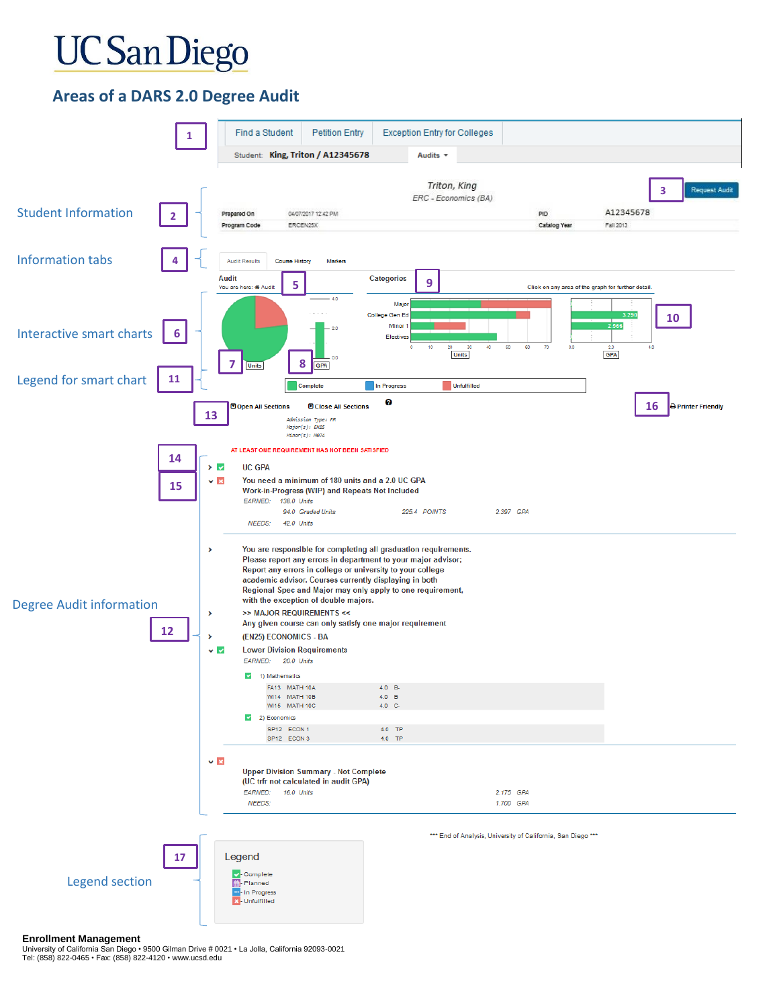# **UC** San Diego

### **Areas of a DARS 2.0 Degree Audit**



#### **Enrollment Management**

University of California San Diego • 9500 Gilman Drive # 0021 • La Jolla, California 92093-0021 Tel: (858) 822-0465 • Fax: (858) 822-4120 • www.ucsd.edu